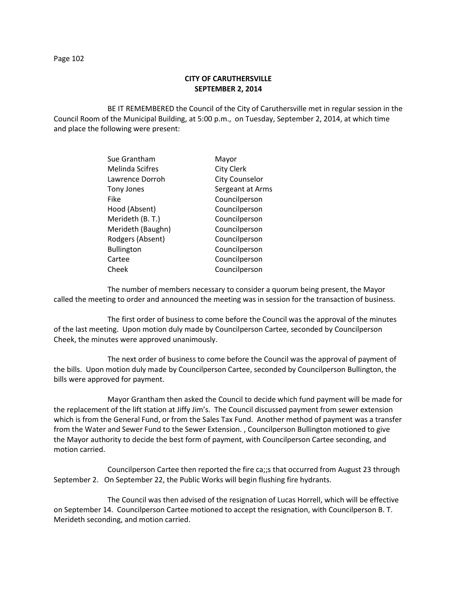# **CITY OF CARUTHERSVILLE SEPTEMBER 2, 2014**

BE IT REMEMBERED the Council of the City of Caruthersville met in regular session in the Council Room of the Municipal Building, at 5:00 p.m., on Tuesday, September 2, 2014, at which time and place the following were present:

| Sue Grantham      | Mayor                 |
|-------------------|-----------------------|
| Melinda Scifres   | <b>City Clerk</b>     |
| Lawrence Dorroh   | <b>City Counselor</b> |
| <b>Tony Jones</b> | Sergeant at Arms      |
| Fike              | Councilperson         |
| Hood (Absent)     | Councilperson         |
| Merideth (B. T.)  | Councilperson         |
| Merideth (Baughn) | Councilperson         |
| Rodgers (Absent)  | Councilperson         |
| <b>Bullington</b> | Councilperson         |
| Cartee            | Councilperson         |
| Cheek             | Councilperson         |
|                   |                       |

The number of members necessary to consider a quorum being present, the Mayor called the meeting to order and announced the meeting was in session for the transaction of business.

The first order of business to come before the Council was the approval of the minutes of the last meeting. Upon motion duly made by Councilperson Cartee, seconded by Councilperson Cheek, the minutes were approved unanimously.

The next order of business to come before the Council was the approval of payment of the bills. Upon motion duly made by Councilperson Cartee, seconded by Councilperson Bullington, the bills were approved for payment.

Mayor Grantham then asked the Council to decide which fund payment will be made for the replacement of the lift station at Jiffy Jim's. The Council discussed payment from sewer extension which is from the General Fund, or from the Sales Tax Fund. Another method of payment was a transfer from the Water and Sewer Fund to the Sewer Extension. , Councilperson Bullington motioned to give the Mayor authority to decide the best form of payment, with Councilperson Cartee seconding, and motion carried.

Councilperson Cartee then reported the fire ca;;s that occurred from August 23 through September 2. On September 22, the Public Works will begin flushing fire hydrants.

The Council was then advised of the resignation of Lucas Horrell, which will be effective on September 14. Councilperson Cartee motioned to accept the resignation, with Councilperson B. T. Merideth seconding, and motion carried.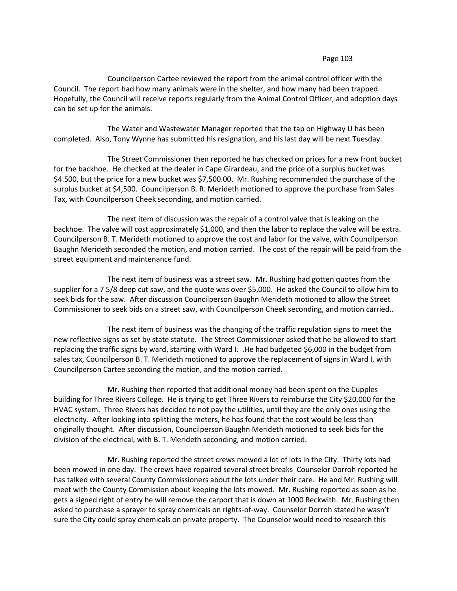Councilperson Cartee reviewed the report from the animal control officer with the Council. The report had how many animals were in the shelter, and how many had been trapped. Hopefully, the Council will receive reports regularly from the Animal Control Officer, and adoption days can be set up for the animals.

The Water and Wastewater Manager reported that the tap on Highway U has been completed. Also, Tony Wynne has submitted his resignation, and his last day will be next Tuesday.

The Street Commissioner then reported he has checked on prices for a new front bucket for the backhoe. He checked at the dealer in Cape Girardeau, and the price of a surplus bucket was \$4.500, but the price for a new bucket was \$7,500.00. Mr. Rushing recommended the purchase of the surplus bucket at \$4,500. Councilperson B. R. Merideth motioned to approve the purchase from Sales Tax, with Councilperson Cheek seconding, and motion carried.

The next item of discussion was the repair of a control valve that is leaking on the backhoe. The valve will cost approximately \$1,000, and then the labor to replace the valve will be extra. Councilperson B. T. Merideth motioned to approve the cost and labor for the valve, with Councilperson Baughn Merideth seconded the motion, and motion carried. The cost of the repair will be paid from the street equipment and maintenance fund.

The next item of business was a street saw. Mr. Rushing had gotten quotes from the supplier for a 7 5/8 deep cut saw, and the quote was over \$5,000. He asked the Council to allow him to seek bids for the saw. After discussion Councilperson Baughn Merideth motioned to allow the Street Commissioner to seek bids on a street saw, with Councilperson Cheek seconding, and motion carried..

The next item of business was the changing of the traffic regulation signs to meet the new reflective signs as set by state statute. The Street Commissioner asked that he be allowed to start replacing the traffic signs by ward, starting with Ward I. .He had budgeted \$6,000 in the budget from sales tax, Councilperson B. T. Merideth motioned to approve the replacement of signs in Ward I, with Councilperson Cartee seconding the motion, and the motion carried.

Mr. Rushing then reported that additional money had been spent on the Cupples building for Three Rivers College. He is trying to get Three Rivers to reimburse the City \$20,000 for the HVAC system. Three Rivers has decided to not pay the utilities, until they are the only ones using the electricity. After looking into splitting the meters, he has found that the cost would be less than originally thought. After discussion, Councilperson Baughn Merideth motioned to seek bids for the division of the electrical, with B. T. Merideth seconding, and motion carried.

Mr. Rushing reported the street crews mowed a lot of lots in the City. Thirty lots had been mowed in one day. The crews have repaired several street breaks Counselor Dorroh reported he has talked with several County Commissioners about the lots under their care. He and Mr. Rushing will meet with the County Commission about keeping the lots mowed. Mr. Rushing reported as soon as he gets a signed right of entry he will remove the carport that is down at 1000 Beckwith. Mr. Rushing then asked to purchase a sprayer to spray chemicals on rights-of-way. Counselor Dorroh stated he wasn't sure the City could spray chemicals on private property. The Counselor would need to research this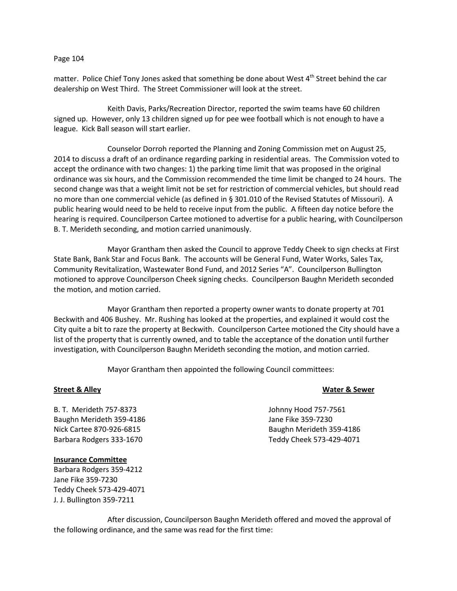matter. Police Chief Tony Jones asked that something be done about West 4<sup>th</sup> Street behind the car dealership on West Third. The Street Commissioner will look at the street.

Keith Davis, Parks/Recreation Director, reported the swim teams have 60 children signed up. However, only 13 children signed up for pee wee football which is not enough to have a league. Kick Ball season will start earlier.

Counselor Dorroh reported the Planning and Zoning Commission met on August 25, 2014 to discuss a draft of an ordinance regarding parking in residential areas. The Commission voted to accept the ordinance with two changes: 1) the parking time limit that was proposed in the original ordinance was six hours, and the Commission recommended the time limit be changed to 24 hours. The second change was that a weight limit not be set for restriction of commercial vehicles, but should read no more than one commercial vehicle (as defined in § 301.010 of the Revised Statutes of Missouri). A public hearing would need to be held to receive input from the public. A fifteen day notice before the hearing is required. Councilperson Cartee motioned to advertise for a public hearing, with Councilperson B. T. Merideth seconding, and motion carried unanimously.

Mayor Grantham then asked the Council to approve Teddy Cheek to sign checks at First State Bank, Bank Star and Focus Bank. The accounts will be General Fund, Water Works, Sales Tax, Community Revitalization, Wastewater Bond Fund, and 2012 Series "A". Councilperson Bullington motioned to approve Councilperson Cheek signing checks. Councilperson Baughn Merideth seconded the motion, and motion carried.

Mayor Grantham then reported a property owner wants to donate property at 701 Beckwith and 406 Bushey. Mr. Rushing has looked at the properties, and explained it would cost the City quite a bit to raze the property at Beckwith. Councilperson Cartee motioned the City should have a list of the property that is currently owned, and to table the acceptance of the donation until further investigation, with Councilperson Baughn Merideth seconding the motion, and motion carried.

Mayor Grantham then appointed the following Council committees:

# **Street & Alley Water & Sewer**

B. T. Merideth 757-8373 Johnny Hood 757-7561 Baughn Merideth 359-4186 **Jane Fike 359-7230** Jane Fike 359-7230 Nick Cartee 870-926-6815 Baughn Merideth 359-4186 Barbara Rodgers 333-1670 Teddy Cheek 573-429-4071

# **Insurance Committee**

Barbara Rodgers 359-4212 Jane Fike 359-7230 Teddy Cheek 573-429-4071 J. J. Bullington 359-7211

After discussion, Councilperson Baughn Merideth offered and moved the approval of the following ordinance, and the same was read for the first time: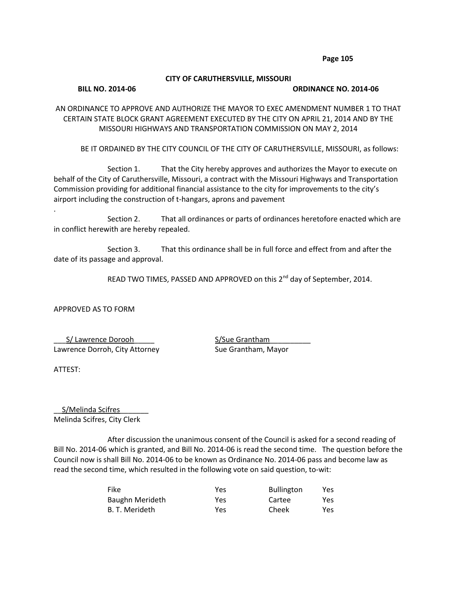# **CITY OF CARUTHERSVILLE, MISSOURI**

## **BILL NO. 2014-06 ORDINANCE NO. 2014-06**

AN ORDINANCE TO APPROVE AND AUTHORIZE THE MAYOR TO EXEC AMENDMENT NUMBER 1 TO THAT CERTAIN STATE BLOCK GRANT AGREEMENT EXECUTED BY THE CITY ON APRIL 21, 2014 AND BY THE MISSOURI HIGHWAYS AND TRANSPORTATION COMMISSION ON MAY 2, 2014

BE IT ORDAINED BY THE CITY COUNCIL OF THE CITY OF CARUTHERSVILLE, MISSOURI, as follows:

Section 1. That the City hereby approves and authorizes the Mayor to execute on behalf of the City of Caruthersville, Missouri, a contract with the Missouri Highways and Transportation Commission providing for additional financial assistance to the city for improvements to the city's airport including the construction of t-hangars, aprons and pavement

Section 2. That all ordinances or parts of ordinances heretofore enacted which are in conflict herewith are hereby repealed.

Section 3. That this ordinance shall be in full force and effect from and after the date of its passage and approval.

READ TWO TIMES, PASSED AND APPROVED on this 2<sup>nd</sup> day of September, 2014.

APPROVED AS TO FORM

\_\_\_S/ Lawrence Dorooh\_\_\_\_\_ S/Sue Grantham\_\_\_\_\_\_\_\_\_\_ Lawrence Dorroh, City Attorney Sue Grantham, Mayor

ATTEST:

.

S/Melinda Scifres Melinda Scifres, City Clerk

After discussion the unanimous consent of the Council is asked for a second reading of Bill No. 2014-06 which is granted, and Bill No. 2014-06 is read the second time. The question before the Council now is shall Bill No. 2014-06 to be known as Ordinance No. 2014-06 pass and become law as read the second time, which resulted in the following vote on said question, to-wit:

| <b>Fike</b>            | Yes  | <b>Bullington</b> | Yes  |
|------------------------|------|-------------------|------|
| <b>Baughn Merideth</b> | Yes. | Cartee            | Yes  |
| B. T. Merideth         | Yes  | Cheek             | Yes. |